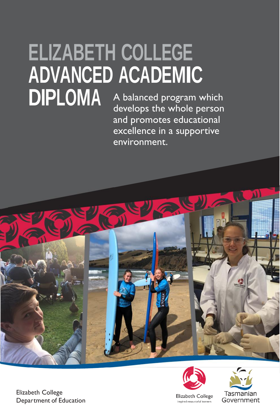## **ELIZABETH COLLEGE ADVANCED ACADEMIC<br>DIPLOMA** A balanced program w A balanced program which

develops the whole person and promotes educational excellence in a supportive environment.





Elizabeth College Department of Education